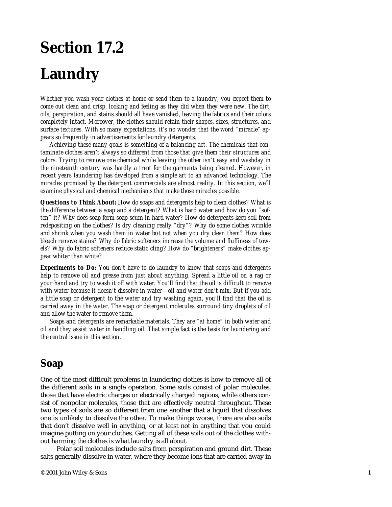# **Section 17.2**

## **Laundry**

*Whether you wash your clothes at home or send them to a laundry, you expect them to come out clean and crisp, looking and feeling as they did when they were new. The dirt, oils, perspiration, and stains should all have vanished, leaving the fabrics and their colors completely intact. Moreover, the clothes should retain their shapes, sizes, structures, and surface textures. With so many expectations, it's no wonder that the word "miracle" appears so frequently in advertisements for laundry detergents.* 

*Achieving these many goals is something of a balancing act. The chemicals that contaminate clothes aren't always so different from those that give them their structures and colors. Trying to remove one chemical while leaving the other isn't easy and washday in the nineteenth century was hardly a treat for the garments being cleaned. However, in recent years laundering has developed from a simple art to an advanced technology. The miracles promised by the detergent commercials are almost reality. In this section, we'll examine physical and chemical mechanisms that make those miracles possible.* 

*Questions to Think About: How do soaps and detergents help to clean clothes? What is the difference between a soap and a detergent? What is hard water and how do you "soften" it? Why does soap form soap scum in hard water? How do detergents keep soil from redepositing on the clothes? Is dry cleaning really "dry"? Why do some clothes wrinkle and shrink when you wash them in water but not when you dry clean them? How does bleach remove stains? Why do fabric softeners increase the volume and fluffiness of towels? Why do fabric softeners reduce static cling? How do "brighteners" make clothes appear whiter than white?* 

*Experiments to Do: You don't have to do laundry to know that soaps and detergents help to remove oil and grease from just about anything. Spread a little oil on a rag or your hand and try to wash it off with water. You'll find that the oil is difficult to remove with water because it doesn't dissolve in water—oil and water don't mix. But if you add a little soap or detergent to the water and try washing again, you'll find that the oil is carried away in the water. The soap or detergent molecules surround tiny droplets of oil and allow the water to remove them.* 

*Soaps and detergents are remarkable materials. They are "at home" in both water and oil and they assist water in handling oil. That simple fact is the basis for laundering and the central issue in this section.* 

## **Soap**

One of the most difficult problems in laundering clothes is how to remove all of the different soils in a single operation. Some soils consist of polar molecules, those that have electric charges or electrically charged regions, while others consist of nonpolar molecules, those that are effectively neutral throughout. These two types of soils are so different from one another that a liquid that dissolves one is unlikely to dissolve the other. To make things worse, there are also soils that don't dissolve well in anything, or at least not in anything that you could imagine putting on your clothes. Getting all of these soils out of the clothes without harming the clothes is what laundry is all about.

Polar soil molecules include salts from perspiration and ground dirt. These salts generally dissolve in water, where they become ions that are carried away in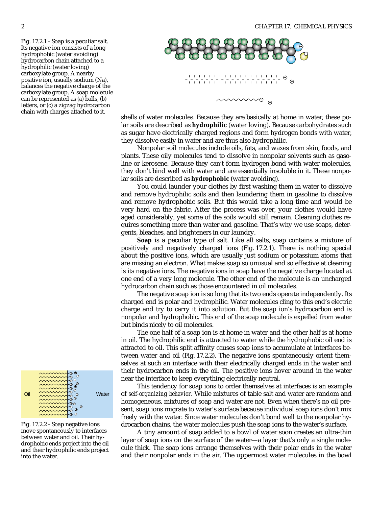Fig. 17.2.1 - Soap is a peculiar salt. Its negative ion consists of a long hydrophobic (water avoiding) hydrocarbon chain attached to a hydrophilic (water loving) carboxylate group. A nearby positive ion, usually sodium (Na), balances the negative charge of the carboxylate group. A soap molecule can be represented as (*a*) balls, (*b*) letters, or (*c*) a zigzag hydrocarbon chain with charges attached to it.



shells of water molecules. Because they are basically at home in water, these polar soils are described as **hydrophilic** (water loving). Because carbohydrates such as sugar have electrically charged regions and form hydrogen bonds with water, they dissolve easily in water and are thus also hydrophilic.

Nonpolar soil molecules include oils, fats, and waxes from skin, foods, and plants. These oily molecules tend to dissolve in nonpolar solvents such as gasoline or kerosene. Because they can't form hydrogen bond with water molecules, they don't bind well with water and are essentially insoluble in it. These nonpolar soils are described as **hydrophobic** (water avoiding).

You could launder your clothes by first washing them in water to dissolve and remove hydrophilic soils and then laundering them in gasoline to dissolve and remove hydrophobic soils. But this would take a long time and would be very hard on the fabric. After the process was over, your clothes would have aged considerably, yet some of the soils would still remain. Cleaning clothes requires something more than water and gasoline. That's why we use soaps, detergents, bleaches, and brighteners in our laundry.

**Soap** is a peculiar type of salt. Like all salts, soap contains a mixture of positively and negatively charged ions (Fig. 17.2.1). There is nothing special about the positive ions, which are usually just sodium or potassium atoms that are missing an electron. What makes soap so unusual and so effective at cleaning is its negative ions. The negative ions in soap have the negative charge located at one end of a very long molecule. The other end of the molecule is an uncharged hydrocarbon chain such as those encountered in oil molecules.

The negative soap ion is so long that its two ends operate independently. Its charged end is polar and hydrophilic. Water molecules cling to this end's electric charge and try to carry it into solution. But the soap ion's hydrocarbon end is nonpolar and hydrophobic. This end of the soap molecule is expelled from water but binds nicely to oil molecules.

The one half of a soap ion is at home in water and the other half is at home in oil. The hydrophilic end is attracted to water while the hydrophobic oil end is attracted to oil. This split affinity causes soap ions to accumulate at interfaces between water and oil (Fig. 17.2.2). The negative ions spontaneously orient themselves at such an interface with their electrically charged ends in the water and their hydrocarbon ends in the oil. The positive ions hover around in the water near the interface to keep everything electrically neutral.

This tendency for soap ions to order themselves at interfaces is an example of *self-organizing behavior*. While mixtures of table salt and water are random and homogeneous, mixtures of soap and water are not. Even when there's no oil present, soap ions migrate to water's surface because individual soap ions don't mix freely with the water. Since water molecules don't bond well to the nonpolar hydrocarbon chains, the water molecules push the soap ions to the water's surface.

A tiny amount of soap added to a bowl of water soon creates an ultra-thin layer of soap ions on the surface of the water—a layer that's only a single molecule thick. The soap ions arrange themselves with their polar ends in the water and their nonpolar ends in the air. The uppermost water molecules in the bowl



Fig. 17.2.2 - Soap negative ions move spontaneously to interfaces between water and oil. Their hydrophobic ends project into the oil and their hydrophilic ends project into the water.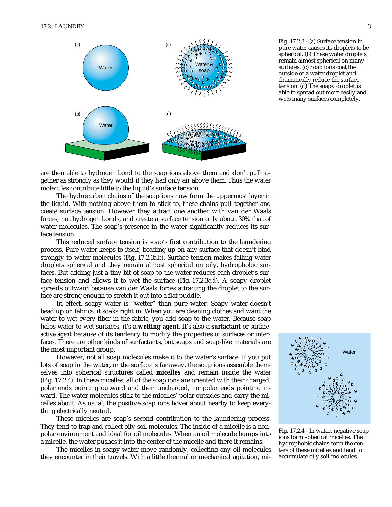

Fig. 17.2.3 - (*a*) Surface tension in pure water causes its droplets to be spherical. (*b*) These water droplets remain almost spherical on many surfaces. (*c*) Soap ions coat the outside of a water droplet and dramatically reduce the surface tension. (*d*) The soapy droplet is able to spread out more easily and wets many surfaces completely.

are then able to hydrogen bond to the soap ions above them and don't pull together as strongly as they would if they had only air above them. Thus the water molecules contribute little to the liquid's surface tension.

The hydrocarbon chains of the soap ions now form the uppermost layer in the liquid. With nothing above them to stick to, these chains pull together and create surface tension. However they attract one another with van der Waals forces, not hydrogen bonds, and create a surface tension only about 30% that of water molecules. The soap's presence in the water significantly reduces its surface tension.

This reduced surface tension is soap's first contribution to the laundering process. Pure water keeps to itself, beading up on any surface that doesn't bind strongly to water molecules (Fig. 17.2.3*a*,*b*). Surface tension makes falling water droplets spherical and they remain almost spherical on oily, hydrophobic surfaces. But adding just a tiny bit of soap to the water reduces each droplet's surface tension and allows it to wet the surface (Fig. 17.2.3*c*,*d*). A soapy droplet spreads outward because van der Waals forces attracting the droplet to the surface are strong enough to stretch it out into a flat puddle.

In effect, soapy water is "wetter" than pure water. Soapy water doesn't bead up on fabrics; it soaks right in. When you are cleaning clothes and want the water to wet every fiber in the fabric, you add soap to the water. Because soap helps water to wet surfaces, it's a **wetting agent**. It's also a **surfactant** or *surfaceactive agent* because of its tendency to modify the properties of surfaces or interfaces. There are other kinds of surfactants, but soaps and soap-like materials are the most important group.

However, not all soap molecules make it to the water's surface. If you put lots of soap in the water, or the surface is far away, the soap ions assemble themselves into spherical structures called **micelles** and remain inside the water (Fig. 17.2.4). In these micelles, all of the soap ions are oriented with their charged, polar ends pointing outward and their uncharged, nonpolar ends pointing inward. The water molecules stick to the micelles' polar outsides and carry the micelles about. As usual, the positive soap ions hover about nearby to keep everything electrically neutral.

These micelles are soap's second contribution to the laundering process. They tend to trap and collect oily soil molecules. The inside of a micelle is a nonpolar environment and ideal for oil molecules. When an oil molecule bumps into a micelle, the water pushes it into the center of the micelle and there it remains.

The micelles in soapy water move randomly, collecting any oil molecules they encounter in their travels. With a little thermal or mechanical agitation, mi-



Fig. 17.2.4 - In water, negative soap ions form spherical micelles. The hydrophobic chains form the centers of these micelles and tend to accumulate oily soil molecules.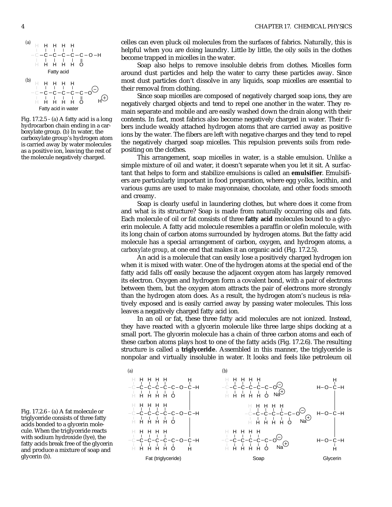

Fig. 17.2.5 - (*a*) A fatty acid is a long hydrocarbon chain ending in a carboxylate group. (*b*) In water, the carboxylate group's hydrogen atom is carried away by water molecules as a positive ion, leaving the rest of the molecule negatively charged.

celles can even pluck oil molecules from the surfaces of fabrics. Naturally, this is helpful when you are doing laundry. Little by little, the oily soils in the clothes become trapped in micelles in the water.

Soap also helps to remove insoluble debris from clothes. Micelles form around dust particles and help the water to carry these particles away. Since most dust particles don't dissolve in any liquids, soap micelles are essential to their removal from clothing.

Since soap micelles are composed of negatively charged soap ions, they are negatively charged objects and tend to repel one another in the water. They remain separate and mobile and are easily washed down the drain along with their contents. In fact, most fabrics also become negatively charged in water. Their fibers include weakly attached hydrogen atoms that are carried away as positive ions by the water. The fibers are left with negative charges and they tend to repel the negatively charged soap micelles. This repulsion prevents soils from redepositing on the clothes.

This arrangement, soap micelles in water, is a stable emulsion. Unlike a simple mixture of oil and water, it doesn't separate when you let it sit. A surfactant that helps to form and stabilize emulsions is called an **emulsifier**. Emulsifiers are particularly important in food preparation, where egg yolks, lecithin, and various gums are used to make mayonnaise, chocolate, and other foods smooth and creamy.

Soap is clearly useful in laundering clothes, but where does it come from and what is its structure? Soap is made from naturally occurring oils and fats. Each molecule of oil or fat consists of three **fatty acid** molecules bound to a glycerin molecule. A fatty acid molecule resembles a paraffin or olefin molecule, with its long chain of carbon atoms surrounded by hydrogen atoms. But the fatty acid molecule has a special arrangement of carbon, oxygen, and hydrogen atoms, a *carboxylate group*, at one end that makes it an organic acid (Fig. 17.2.5).

An acid is a molecule that can easily lose a positively charged hydrogen ion when it is mixed with water. One of the hydrogen atoms at the special end of the fatty acid falls off easily because the adjacent oxygen atom has largely removed its electron. Oxygen and hydrogen form a covalent bond, with a pair of electrons between them, but the oxygen atom attracts the pair of electrons more strongly than the hydrogen atom does. As a result, the hydrogen atom's nucleus is relatively exposed and is easily carried away by passing water molecules. This loss leaves a negatively charged fatty acid ion.

In an oil or fat, these three fatty acid molecules are not ionized. Instead, they have reacted with a glycerin molecule like three large ships docking at a small port. The glycerin molecule has a chain of three carbon atoms and each of these carbon atoms plays host to one of the fatty acids (Fig. 17.2.6). The resulting structure is called a **triglyceride**. Assembled in this manner, the triglyceride is nonpolar and virtually insoluble in water. It looks and feels like petroleum oil



Fig. 17.2.6 - (*a*) A fat molecule or triglyceride consists of three fatty acids bonded to a glycerin molecule. When the triglyceride reacts with sodium hydroxide (lye), the fatty acids break free of the glycerin and produce a mixture of soap and glycerin (*b*).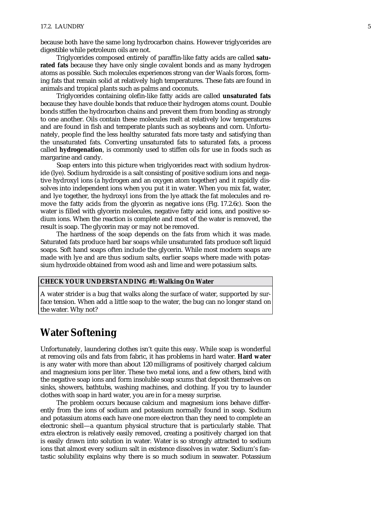because both have the same long hydrocarbon chains. However triglycerides are digestible while petroleum oils are not.

Triglycerides composed entirely of paraffin-like fatty acids are called **saturated fats** because they have only single covalent bonds and as many hydrogen atoms as possible. Such molecules experiences strong van der Waals forces, forming fats that remain solid at relatively high temperatures. These fats are found in animals and tropical plants such as palms and coconuts.

Triglycerides containing olefin-like fatty acids are called **unsaturated fats** because they have double bonds that reduce their hydrogen atoms count. Double bonds stiffen the hydrocarbon chains and prevent them from bonding as strongly to one another. Oils contain these molecules melt at relatively low temperatures and are found in fish and temperate plants such as soybeans and corn. Unfortunately, people find the less healthy saturated fats more tasty and satisfying than the unsaturated fats. Converting unsaturated fats to saturated fats, a process called **hydrogenation**, is commonly used to stiffen oils for use in foods such as margarine and candy.

Soap enters into this picture when triglycerides react with sodium hydroxide (lye). Sodium hydroxide is a salt consisting of positive sodium ions and negative hydroxyl ions (a hydrogen and an oxygen atom together) and it rapidly dissolves into independent ions when you put it in water. When you mix fat, water, and lye together, the hydroxyl ions from the lye attack the fat molecules and remove the fatty acids from the glycerin as negative ions (Fig. 17.2.6*c*). Soon the water is filled with glycerin molecules, negative fatty acid ions, and positive sodium ions. When the reaction is complete and most of the water is removed, the result is soap. The glycerin may or may not be removed.

The hardness of the soap depends on the fats from which it was made. Saturated fats produce hard bar soaps while unsaturated fats produce soft liquid soaps. Soft hand soaps often include the glycerin. While most modern soaps are made with lye and are thus sodium salts, earlier soaps where made with potassium hydroxide obtained from wood ash and lime and were potassium salts.

#### **CHECK YOUR UNDERSTANDING #1: Walking On Water**

A water strider is a bug that walks along the surface of water, supported by surface tension. When add a little soap to the water, the bug can no longer stand on the water. Why not?

## **Water Softening**

Unfortunately, laundering clothes isn 't quite this easy. While soap is wonderful at removing oils and fats from fabric, it has problems in hard water. **Hard water** is any water with more than about 120 milligrams of positively charged calcium and magnesium ions per liter. These two metal ions, and a few others, bind with the negative soap ions and form insoluble soap scums that deposit themselves on sinks, showers, bathtubs, washing machines, and clothing. If you try to launder clothes with soap in hard water, you are in for a messy surprise.

The problem occurs because calcium and magnesium ions behave differently from the ions of sodium and potassium normally found in soap. Sodium and potassium atoms each have one more electron than they need to complete an electronic shell —a quantum physical structure that is particularly stable. That extra electron is relatively easily removed, creating a positively charged ion that is easily drawn into solution in water. Water is so strongly attracted to sodium ions that almost every sodium salt in existence dissolves in water. Sodium 's fantastic solubility explains why there is so much sodium in seawater. Potassium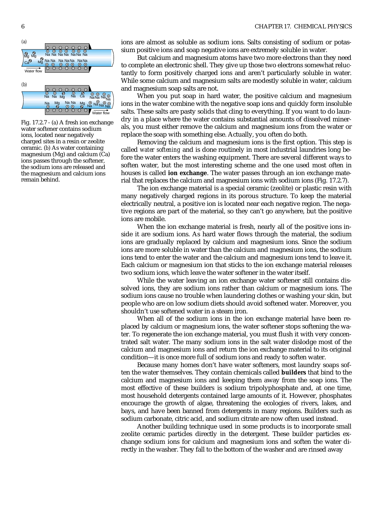

Fig. 17.2.7 - (*a*) A fresh ion exchange water softener contains sodium ions, located near negatively charged sites in a resin or zeolite ceramic. (*b*) As water containing magnesium (Mg) and calcium (Ca) ions passes through the softener, the sodium ions are released and the magnesium and calcium ions remain behind.

ions are almost as soluble as sodium ions. Salts consisting of sodium or potassium positive ions and soap negative ions are extremely soluble in water.

But calcium and magnesium atoms have two more electrons than they need to complete an electronic shell. They give up those two electrons somewhat reluctantly to form positively charged ions and aren't particularly soluble in water. While some calcium and magnesium salts are modestly soluble in water, calcium and magnesium soap salts are not.

When you put soap in hard water, the positive calcium and magnesium ions in the water combine with the negative soap ions and quickly form insoluble salts. These salts are pasty solids that cling to everything. If you want to do laundry in a place where the water contains substantial amounts of dissolved minerals, you must either remove the calcium and magnesium ions from the water or replace the soap with something else. Actually, you often do both.

Removing the calcium and magnesium ions is the first option. This step is called *water softening* and is done routinely in most industrial laundries long before the water enters the washing equipment. There are several different ways to soften water, but the most interesting scheme and the one used most often in houses is called **ion exchange**. The water passes through an ion exchange material that replaces the calcium and magnesium ions with sodium ions (Fig. 17.2.7).

The ion exchange material is a special ceramic (zeolite) or plastic resin with many negatively charged regions in its porous structure. To keep the material electrically neutral, a positive ion is located near each negative region. The negative regions are part of the material, so they can't go anywhere, but the positive ions are mobile.

When the ion exchange material is fresh, nearly all of the positive ions inside it are sodium ions. As hard water flows through the material, the sodium ions are gradually replaced by calcium and magnesium ions. Since the sodium ions are more soluble in water than the calcium and magnesium ions, the sodium ions tend to enter the water and the calcium and magnesium ions tend to leave it. Each calcium or magnesium ion that sticks to the ion exchange material releases two sodium ions, which leave the water softener in the water itself.

While the water leaving an ion exchange water softener still contains dissolved ions, they are sodium ions rather than calcium or magnesium ions. The sodium ions cause no trouble when laundering clothes or washing your skin, but people who are on low sodium diets should avoid softened water. Moreover, you shouldn't use softened water in a steam iron.

When all of the sodium ions in the ion exchange material have been replaced by calcium or magnesium ions, the water softener stops softening the water. To regenerate the ion exchange material, you must flush it with very concentrated salt water. The many sodium ions in the salt water dislodge most of the calcium and magnesium ions and return the ion exchange material to its original condition—it is once more full of sodium ions and ready to soften water.

Because many homes don't have water softeners, most laundry soaps soften the water themselves. They contain chemicals called **builders** that bind to the calcium and magnesium ions and keeping them away from the soap ions. The most effective of these builders is sodium tripolyphosphate and, at one time, most household detergents contained large amounts of it. However, phosphates encourage the growth of algae, threatening the ecologies of rivers, lakes, and bays, and have been banned from detergents in many regions. Builders such as sodium carbonate, citric acid, and sodium citrate are now often used instead.

Another building technique used in some products is to incorporate small zeolite ceramic particles directly in the detergent. These builder particles exchange sodium ions for calcium and magnesium ions and soften the water directly in the washer. They fall to the bottom of the washer and are rinsed away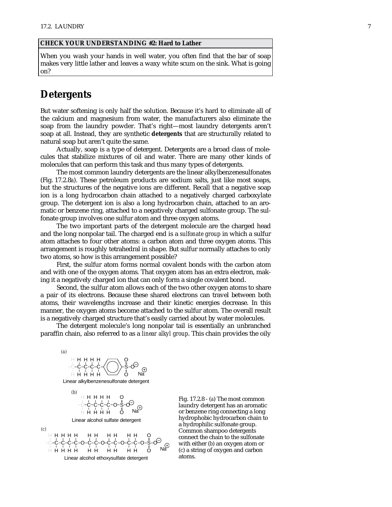#### **CHECK YOUR UNDERSTANDING #2: Hard to Lather**

When you wash your hands in well water, you often find that the bar of soap makes very little lather and leaves a waxy white scum on the sink. What is going on?

## **Detergents**

But water softening is only half the solution. Because it 's hard to eliminate all of the calcium and magnesium from water, the manufacturers also eliminate the soap from the laundry powder. That 's right—most laundry detergents aren 't soap at all. Instead, they are synthetic **detergents** that are structurally related to natural soap but aren 't quite the same.

Actually, soap is a type of detergent. Detergents are a broad class of molecules that stabilize mixtures of oil and water. There are many other kinds of molecules that can perform this task and thus many types of detergents.

The most common laundry detergents are the linear alkylbenzenesulfonates (Fig. 17.2.8*a*). These petroleum products are sodium salts, just like most soaps, but the structures of the negative ions are different. Recall that a negative soap ion is a long hydrocarbon chain attached to a negatively charged carboxylate group. The detergent ion is also a long hydrocarbon chain, attached to an aromatic or benzene ring, attached to a negatively charged sulfonate group. The sulfonate group involves one sulfur atom and three oxygen atoms.

The two important parts of the detergent molecule are the charged head and the long nonpolar tail. The charged end is a *sulfonate group* in which a sulfur atom attaches to four other atoms: a carbon atom and three oxygen atoms. This arrangement is roughly tetrahedral in shape. But sulfur normally attaches to only two atoms, so how is this arrangement possible?

First, the sulfur atom forms normal covalent bonds with the carbon atom and with one of the oxygen atoms. That oxygen atom has an extra electron, making it a negatively charged ion that can only form a single covalent bond.

Second, the sulfur atom allows each of the two other oxygen atoms to share a pair of its electrons. Because these shared electrons can travel between both atoms, their wavelengths increase and their kinetic energies decrease. In this manner, the oxygen atoms become attached to the sulfur atom. The overall result is a negatively charged structure that 's easily carried about by water molecules.

The detergent molecule 's long nonpolar tail is essentially an unbranched paraffin chain, also referred to as a *linear alkyl group*. This chain provides the oily



Fig. 17.2.8 - ( *a*) The most common laundry detergent has an aromatic or benzene ring connecting a long hydrophobic hydrocarbon chain to a hydrophilic sulfonate group. Common shampoo detergents connect the chain to the sulfonate with either ( *b*) an oxygen atom or ( *c*) a string of oxygen and carbon atoms.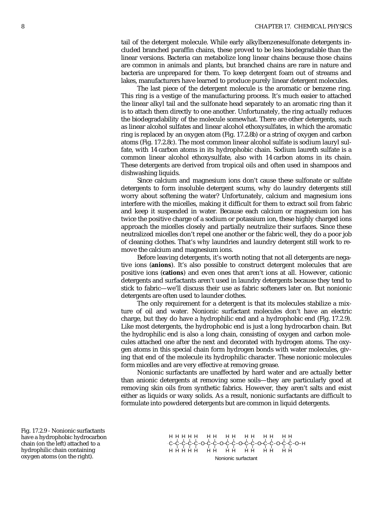tail of the detergent molecule. While early alkylbenzenesulfonate detergents included branched paraffin chains, these proved to be less biodegradable than the linear versions. Bacteria can metabolize long linear chains because those chains are common in animals and plants, but branched chains are rare in nature and bacteria are unprepared for them. To keep detergent foam out of streams and lakes, manufacturers have learned to produce purely linear detergent molecules.

The last piece of the detergent molecule is the aromatic or benzene ring. This ring is a vestige of the manufacturing process. It's much easier to attached the linear alkyl tail and the sulfonate head separately to an aromatic ring than it is to attach them directly to one another. Unfortunately, the ring actually reduces the biodegradability of the molecule somewhat. There are other detergents, such as linear alcohol sulfates and linear alcohol ethoxysulfates, in which the aromatic ring is replaced by an oxygen atom (Fig. 17.2.8*b*) or a string of oxygen and carbon atoms (Fig. 17.2.8*c*). The most common linear alcohol sulfate is sodium lauryl sulfate, with 14 carbon atoms in its hydrophobic chain. Sodium laureth sulfate is a common linear alcohol ethoxysulfate, also with 14 carbon atoms in its chain. These detergents are derived from tropical oils and often used in shampoos and dishwashing liquids.

Since calcium and magnesium ions don't cause these sulfonate or sulfate detergents to form insoluble detergent scums, why do laundry detergents still worry about softening the water? Unfortunately, calcium and magnesium ions interfere with the micelles, making it difficult for them to extract soil from fabric and keep it suspended in water. Because each calcium or magnesium ion has twice the positive charge of a sodium or potassium ion, these highly charged ions approach the micelles closely and partially neutralize their surfaces. Since these neutralized micelles don't repel one another or the fabric well, they do a poor job of cleaning clothes. That's why laundries and laundry detergent still work to remove the calcium and magnesium ions.

Before leaving detergents, it's worth noting that not all detergents are negative ions (**anions**). It's also possible to construct detergent molecules that are positive ions (**cations**) and even ones that aren't ions at all. However, cationic detergents and surfactants aren't used in laundry detergents because they tend to stick to fabric—we'll discuss their use as fabric softeners later on. But nonionic detergents are often used to launder clothes.

The only requirement for a detergent is that its molecules stabilize a mixture of oil and water. Nonionic surfactant molecules don't have an electric charge, but they do have a hydrophilic end and a hydrophobic end (Fig. 17.2.9). Like most detergents, the hydrophobic end is just a long hydrocarbon chain. But the hydrophilic end is also a long chain, consisting of oxygen and carbon molecules attached one after the next and decorated with hydrogen atoms. The oxygen atoms in this special chain form hydrogen bonds with water molecules, giving that end of the molecule its hydrophilic character. These nonionic molecules form micelles and are very effective at removing grease.

Nonionic surfactants are unaffected by hard water and are actually better than anionic detergents at removing some soils—they are particularly good at removing skin oils from synthetic fabrics. However, they aren't salts and exist either as liquids or waxy solids. As a result, nonionic surfactants are difficult to formulate into powdered detergents but are common in liquid detergents.

Fig. 17.2.9 - Nonionic surfactants have a hydrophobic hydrocarbon chain (on the left) attached to a hydrophilic chain containing oxygen atoms (on the right).

C-C-C-C-C-O-C-C-O-C-C-O-C-C-O-C-C-O-C-C-O HHHHH HH HH HH HH HH  $H$ HH HH -0-C-C-O-H Nonionic surfactant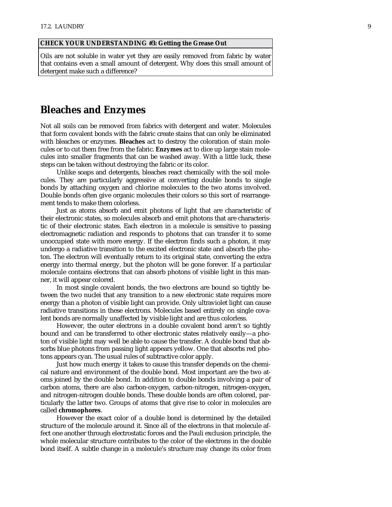#### **CHECK YOUR UNDERSTANDING #3: Getting the Grease Out**

Oils are not soluble in water yet they are easily removed from fabric by water that contains even a small amount of detergent. Why does this small amount of detergent make such a difference?

## **Bleaches and Enzymes**

Not all soils can be removed from fabrics with detergent and water. Molecules that form covalent bonds with the fabric create stains that can only be eliminated with bleaches or enzymes. **Bleaches** act to destroy the coloration of stain molecules or to cut them free from the fabric. **Enzymes** act to dice up large stain molecules into smaller fragments that can be washed away. With a little luck, these steps can be taken without destroying the fabric or its color.

Unlike soaps and detergents, bleaches react chemically with the soil molecules. They are particularly aggressive at converting double bonds to single bonds by attaching oxygen and chlorine molecules to the two atoms involved. Double bonds often give organic molecules their colors so this sort of rearrangement tends to make them colorless.

Just as atoms absorb and emit photons of light that are characteristic of their electronic states, so molecules absorb and emit photons that are characteristic of their electronic states. Each electron in a molecule is sensitive to passing electromagnetic radiation and responds to photons that can transfer it to some unoccupied state with more energy. If the electron finds such a photon, it may undergo a radiative transition to the excited electronic state and absorb the photon. The electron will eventually return to its original state, converting the extra energy into thermal energy, but the photon will be gone forever. If a particular molecule contains electrons that can absorb photons of visible light in this manner, it will appear colored.

In most single covalent bonds, the two electrons are bound so tightly between the two nuclei that any transition to a new electronic state requires more energy than a photon of visible light can provide. Only ultraviolet light can cause radiative transitions in these electrons. Molecules based entirely on single covalent bonds are normally unaffected by visible light and are thus colorless.

However, the outer electrons in a double covalent bond aren 't so tightly bound and can be transferred to other electronic states relatively easily —a photon of visible light may well be able to cause the transfer. A double bond that absorbs blue photons from passing light appears yellow. One that absorbs red photons appears cyan. The usual rules of subtractive color apply.

Just how much energy it takes to cause this transfer depends on the chemical nature and environment of the double bond. Most important are the two atoms joined by the double bond. In addition to double bonds involving a pair of carbon atoms, there are also carbon-oxygen, carbon-nitrogen, nitrogen-oxygen, and nitrogen-nitrogen double bonds. These double bonds are often colored, particularly the latter two. Groups of atoms that give rise to color in molecules are called **chromophores**.

However the exact color of a double bond is determined by the detailed structure of the molecule around it. Since all of the electrons in that molecule affect one another through electrostatic forces and the Pauli exclusion principle, the whole molecular structure contributes to the color of the electrons in the double bond itself. A subtle change in a molecule 's structure may change its color from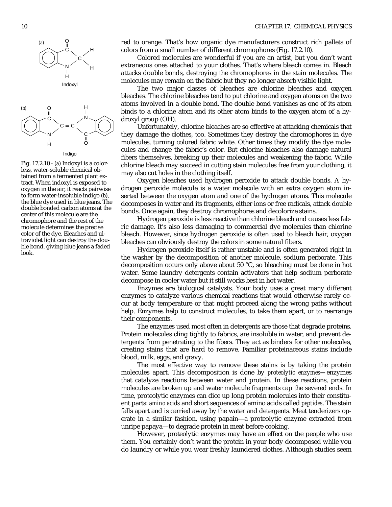

Fig. 17.2.10 - (*a*) Indoxyl is a colorless, water-soluble chemical obtained from a fermented plant extract. When indoxyl is exposed to oxygen in the air, it reacts pairwise to form water-insoluble indigo (*b*), the blue dye used in blue jeans. The double bonded carbon atoms at the center of this molecule are the chromophore and the rest of the molecule determines the precise color of the dye. Bleaches and ultraviolet light can destroy the double bond, giving blue jeans a faded look.

red to orange. That's how organic dye manufacturers construct rich pallets of colors from a small number of different chromophores (Fig. 17.2.10).

Colored molecules are wonderful if you are an artist, but you don't want extraneous ones attached to your clothes. That's where bleach comes in. Bleach attacks double bonds, destroying the chromophores in the stain molecules. The molecules may remain on the fabric but they no longer absorb visible light.

The two major classes of bleaches are chlorine bleaches and oxygen bleaches. The chlorine bleaches tend to put chlorine and oxygen atoms on the two atoms involved in a double bond. The double bond vanishes as one of its atom binds to a chlorine atom and its other atom binds to the oxygen atom of a hydroxyl group (OH).

Unfortunately, chlorine bleaches are so effective at attacking chemicals that they damage the clothes, too. Sometimes they destroy the chromophores in dye molecules, turning colored fabric white. Other times they modify the dye molecules and change the fabric's color. But chlorine bleaches also damage natural fibers themselves, breaking up their molecules and weakening the fabric. While chlorine bleach may succeed in cutting stain molecules free from your clothing, it may also cut holes in the clothing itself.

Oxygen bleaches used hydrogen peroxide to attack double bonds. A hydrogen peroxide molecule is a water molecule with an extra oxygen atom inserted between the oxygen atom and one of the hydrogen atoms. This molecule decomposes in water and its fragments, either ions or free radicals, attack double bonds. Once again, they destroy chromophores and decolorize stains.

Hydrogen peroxide is less reactive than chlorine bleach and causes less fabric damage. It's also less damaging to commercial dye molecules than chlorine bleach. However, since hydrogen peroxide is often used to bleach hair, oxygen bleaches can obviously destroy the colors in some natural fibers.

Hydrogen peroxide itself is rather unstable and is often generated right in the washer by the decomposition of another molecule, sodium perborate. This decomposition occurs only above about 50 °C, so bleaching must be done in hot water. Some laundry detergents contain activators that help sodium perborate decompose in cooler water but it still works best in hot water.

Enzymes are biological catalysts. Your body uses a great many different enzymes to catalyze various chemical reactions that would otherwise rarely occur at body temperature or that might proceed along the wrong paths without help. Enzymes help to construct molecules, to take them apart, or to rearrange their components.

The enzymes used most often in detergents are those that degrade proteins. Protein molecules cling tightly to fabrics, are insoluble in water, and prevent detergents from penetrating to the fibers. They act as binders for other molecules, creating stains that are hard to remove. Familiar proteinaceous stains include blood, milk, eggs, and gravy.

The most effective way to remove these stains is by taking the protein molecules apart. This decomposition is done by *proteolytic enzymes***—**enzymes that catalyze reactions between water and protein. In these reactions, protein molecules are broken up and water molecule fragments cap the severed ends. In time, proteolytic enzymes can dice up long protein molecules into their constituent parts: *amino acids* and short sequences of amino acids called *peptides*. The stain falls apart and is carried away by the water and detergents. Meat tenderizers operate in a similar fashion, using papain—a proteolytic enzyme extracted from unripe papaya—to degrade protein in meat before cooking.

However, proteolytic enzymes may have an effect on the people who use them. You certainly don't want the protein in your body decomposed while you do laundry or while you wear freshly laundered clothes. Although studies seem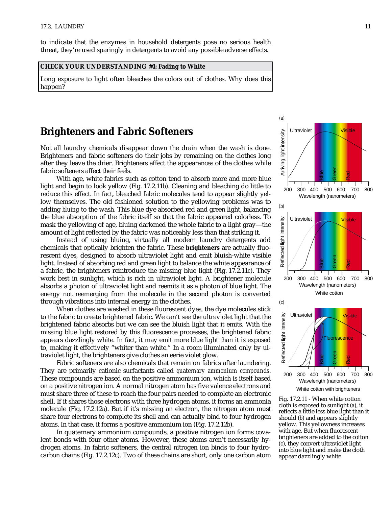to indicate that the enzymes in household detergents pose no serious health threat, they're used sparingly in detergents to avoid any possible adverse effects.

#### **CHECK YOUR UNDERSTANDING #4: Fading to White**

Long exposure to light often bleaches the colors out of clothes. Why does this happen?

## **Brighteners and Fabric Softeners**

Not all laundry chemicals disappear down the drain when the wash is done. Brighteners and fabric softeners do their jobs by remaining on the clothes long after they leave the drier. Brighteners affect the appearances of the clothes while fabric softeners affect their feels.

With age, white fabrics such as cotton tend to absorb more and more blue light and begin to look yellow (Fig. 17.2.11*b*). Cleaning and bleaching do little to reduce this effect. In fact, bleached fabric molecules tend to appear slightly yellow themselves. The old fashioned solution to the yellowing problems was to adding *bluing* to the wash. This blue dye absorbed red and green light, balancing the blue absorption of the fabric itself so that the fabric appeared colorless. To mask the yellowing of age, bluing darkened the whole fabric to a light gray—the amount of light reflected by the fabric was noticeably less than that striking it.

Instead of using bluing, virtually all modern laundry detergents add chemicals that optically brighten the fabric. These **brighteners** are actually fluorescent dyes, designed to absorb ultraviolet light and emit bluish-white visible light. Instead of absorbing red and green light to balance the white appearance of a fabric, the brighteners reintroduce the missing blue light (Fig. 17.2.11*c*). They work best in sunlight, which is rich in ultraviolet light. A brightener molecule absorbs a photon of ultraviolet light and reemits it as a photon of blue light. The energy not reemerging from the molecule in the second photon is converted through vibrations into internal energy in the clothes.

When clothes are washed in these fluorescent dyes, the dye molecules stick to the fabric to create brightened fabric. We can't see the ultraviolet light that the brightened fabric absorbs but we can see the bluish light that it emits. With the missing blue light restored by this fluorescence processes, the brightened fabric appears dazzlingly white. In fact, it may emit more blue light than it is exposed to, making it effectively "whiter than white." In a room illuminated only by ultraviolet light, the brighteners give clothes an eerie violet glow.

Fabric softeners are also chemicals that remain on fabrics after laundering. They are primarily cationic surfactants called *quaternary ammonium compounds*. These compounds are based on the positive ammonium ion, which is itself based on a positive nitrogen ion. A normal nitrogen atom has five valence electrons and must share three of these to reach the four pairs needed to complete an electronic shell. If it shares those electrons with three hydrogen atoms, it forms an ammonia molecule (Fig. 17.2.12*a*). But if it's missing an electron, the nitrogen atom must share four electrons to complete its shell and can actually bind to four hydrogen atoms. In that case, it forms a positive ammonium ion (Fig. 17.2.12*b*).

In quaternary ammonium compounds, a positive nitrogen ion forms covalent bonds with four other atoms. However, these atoms aren't necessarily hydrogen atoms. In fabric softeners, the central nitrogen ion binds to four hydrocarbon chains (Fig. 17.2.12*c*). Two of these chains are short, only one carbon atom



*(a)*

Fig. 17.2.11 - When white cotton cloth is exposed to sunlight (*a*), it reflects a little less blue light than it should (*b*) and appears slightly yellow. This yellowness increases with age. But when fluorescent brighteners are added to the cotton (*c*), they convert ultraviolet light into blue light and make the cloth appear dazzlingly white.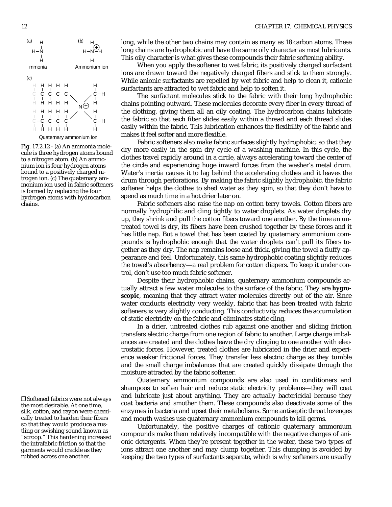

Fig. 17.2.12 - (*a*) An ammonia molecule is three hydrogen atoms bound to a nitrogen atom. (*b*) An ammonium ion is four hydrogen atoms bound to a positively charged nitrogen ion. (*c*) The quaternary ammonium ion used in fabric softeners is formed by replacing the four hydrogen atoms with hydrocarbon chains.

❐ Softened fabrics were not always the most desirable. At one time, silk, cotton, and rayon were chemically treated to harden their fibers so that they would produce a rustling or swishing sound known as "scroop." This hardening increased the intrafabric friction so that the garments would crackle as they rubbed across one another.

long, while the other two chains may contain as many as 18 carbon atoms. These long chains are hydrophobic and have the same oily character as most lubricants. This oily character is what gives these compounds their fabric softening ability.

When you apply the softener to wet fabric, its positively charged surfactant ions are drawn toward the negatively charged fibers and stick to them strongly. While anionic surfactants are repelled by wet fabric and help to clean it, cationic surfactants are attracted to wet fabric and help to soften it.

The surfactant molecules stick to the fabric with their long hydrophobic chains pointing outward. These molecules decorate every fiber in every thread of the clothing, giving them all an oily coating. The hydrocarbon chains lubricate the fabric so that each fiber slides easily within a thread and each thread slides easily within the fabric. This lubrication enhances the flexibility of the fabric and makes it feel softer and more flexible.

Fabric softeners also make fabric surfaces slightly hydrophobic, so that they dry more easily in the spin dry cycle of a washing machine. In this cycle, the clothes travel rapidly around in a circle, always accelerating toward the center of the circle and experiencing huge inward forces from the washer's metal drum. Water's inertia causes it to lag behind the accelerating clothes and it leaves the drum through perforations. By making the fabric slightly hydrophobic, the fabric softener helps the clothes to shed water as they spin, so that they don't have to spend as much time in a hot drier later on.

Fabric softeners also raise the nap on cotton terry towels. Cotton fibers are normally hydrophilic and cling tightly to water droplets. As water droplets dry up, they shrink and pull the cotton fibers toward one another. By the time an untreated towel is dry, its fibers have been crushed together by these forces and it has little nap. But a towel that has been coated by quaternary ammonium compounds is hydrophobic enough that the water droplets can't pull its fibers together as they dry. The nap remains loose and thick, giving the towel a fluffy appearance and feel. Unfortunately, this same hydrophobic coating slightly reduces the towel's absorbency—a real problem for cotton diapers. To keep it under control, don't use too much fabric softener.

Despite their hydrophobic chains, quaternary ammonium compounds actually attract a few water molecules to the surface of the fabric. They are **hygroscopic**, meaning that they attract water molecules directly out of the air. Since water conducts electricity very weakly, fabric that has been treated with fabric softeners is very slightly conducting. This conductivity reduces the accumulation of static electricity on the fabric and eliminates static cling.

In a drier, untreated clothes rub against one another and sliding friction transfers electric charge from one region of fabric to another. Large charge imbalances are created and the clothes leave the dry clinging to one another with electrostatic forces. However, treated clothes are lubricated in the drier and experience weaker frictional forces. They transfer less electric charge as they tumble and the small charge imbalances that are created quickly dissipate through the moisture attracted by the fabric softener.

Quaternary ammonium compounds are also used in conditioners and shampoos to soften hair and reduce static electricity problems—they will coat and lubricate just about anything. They are actually bactericidal because they coat bacteria and smother them. These compounds also deactivate some of the enzymes in bacteria and upset their metabolisms. Some antiseptic throat lozenges and mouth washes use quaternary ammonium compounds to kill germs.

Unfortunately, the positive charges of cationic quaternary ammonium compounds make them relatively incompatible with the negative charges of anionic detergents. When they're present together in the water, these two types of ions attract one another and may clump together. This clumping is avoided by keeping the two types of surfactants separate, which is why softeners are usually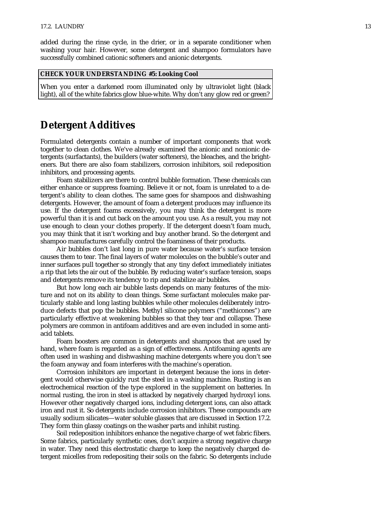added during the rinse cycle, in the drier, or in a separate conditioner when washing your hair. However, some detergent and shampoo formulators have successfully combined cationic softeners and anionic detergents.

#### **CHECK YOUR UNDERSTANDING #5: Looking Cool**

When you enter a darkened room illuminated only by ultraviolet light (black light), all of the white fabrics glow blue-white. Why don 't any glow red or green?

## **Detergent Additives**

Formulated detergents contain a number of important components that work together to clean clothes. We 've already examined the anionic and nonionic detergents (surfactants), the builders (water softeners), the bleaches, and the brighteners. But there are also foam stabilizers, corrosion inhibitors, soil redeposition inhibitors, and processing agents.

Foam stabilizers are there to control bubble formation. These chemicals can either enhance or suppress foaming. Believe it or not, foam is unrelated to a detergent's ability to clean clothes. The same goes for shampoos and dishwashing detergents. However, the amount of foam a detergent produces may influence its use. If the detergent foams excessively, you may think the detergent is more powerful than it is and cut back on the amount you use. As a result, you may not use enough to clean your clothes properly. If the detergent doesn 't foam much, you may think that it isn 't working and buy another brand. So the detergent and shampoo manufactures carefully control the foaminess of their products.

Air bubbles don 't last long in pure water because water 's surface tension causes them to tear. The final layers of water molecules on the bubble 's outer and inner surfaces pull together so strongly that any tiny defect immediately initiates a rip that lets the air out of the bubble. By reducing water 's surface tension, soaps and detergents remove its tendency to rip and stabilize air bubbles.

But how long each air bubble lasts depends on many features of the mixture and not on its ability to clean things. Some surfactant molecules make particularly stable and long lasting bubbles while other molecules deliberately introduce defects that pop the bubbles. Methyl silicone polymers ("methicones") are particularly effective at weakening bubbles so that they tear and collapse. These polymers are common in antifoam additives and are even included in some antiacid tablets.

Foam boosters are common in detergents and shampoos that are used by hand, where foam is regarded as a sign of effectiveness. Antifoaming agents are often used in washing and dishwashing machine detergents where you don 't see the foam anyway and foam interferes with the machine 's operation.

Corrosion inhibitors are important in detergent because the ions in detergent would otherwise quickly rust the steel in a washing machine. Rusting is an electrochemical reaction of the type explored in the supplement on batteries. In normal rusting, the iron in steel is attacked by negatively charged hydroxyl ions. However other negatively charged ions, including detergent ions, can also attack iron and rust it. So detergents include corrosion inhibitors. These compounds are usually sodium silicates—water soluble glasses that are discussed in Section 17.2. They form thin glassy coatings on the washer parts and inhibit rusting.

Soil redeposition inhibitors enhance the negative charge of wet fabric fibers. Some fabrics, particularly synthetic ones, don 't acquire a strong negative charge in water. They need this electrostatic charge to keep the negatively charged detergent micelles from redepositing their soils on the fabric. So detergents include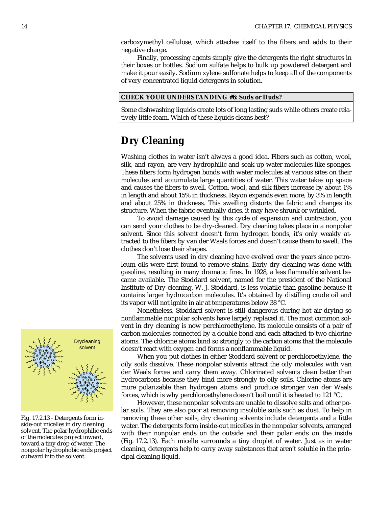carboxymethyl cellulose, which attaches itself to the fibers and adds to their negative charge.

Finally, processing agents simply give the detergents the right structures in their boxes or bottles. Sodium sulfate helps to bulk up powdered detergent and make it pour easily. Sodium xylene sulfonate helps to keep all of the components of very concentrated liquid detergents in solution.

#### **CHECK YOUR UNDERSTANDING #6: Suds or Duds?**

Some dishwashing liquids create lots of long lasting suds while others create relatively little foam. Which of these liquids cleans best?

## **Dry Cleaning**

Washing clothes in water isn't always a good idea. Fibers such as cotton, wool, silk, and rayon, are very hydrophilic and soak up water molecules like sponges. These fibers form hydrogen bonds with water molecules at various sites on their molecules and accumulate large quantities of water. This water takes up space and causes the fibers to swell. Cotton, wool, and silk fibers increase by about 1% in length and about 15% in thickness. Rayon expands even more, by 3% in length and about 25% in thickness. This swelling distorts the fabric and changes its structure. When the fabric eventually dries, it may have shrunk or wrinkled.

To avoid damage caused by this cycle of expansion and contraction, you can send your clothes to be dry-cleaned. Dry cleaning takes place in a nonpolar solvent. Since this solvent doesn't form hydrogen bonds, it's only weakly attracted to the fibers by van der Waals forces and doesn't cause them to swell. The clothes don't lose their shapes.

The solvents used in dry cleaning have evolved over the years since petroleum oils were first found to remove stains. Early dry cleaning was done with gasoline, resulting in many dramatic fires. In 1928, a less flammable solvent became available. The Stoddard solvent, named for the president of the National Institute of Dry cleaning, W. J. Stoddard, is less volatile than gasoline because it contains larger hydrocarbon molecules. It's obtained by distilling crude oil and its vapor will not ignite in air at temperatures below 38 °C.

Nonetheless, Stoddard solvent is still dangerous during hot air drying so nonflammable nonpolar solvents have largely replaced it. The most common solvent in dry cleaning is now perchloroethylene. Its molecule consists of a pair of carbon molecules connected by a double bond and each attached to two chlorine atoms. The chlorine atoms bind so strongly to the carbon atoms that the molecule doesn't react with oxygen and forms a nonflammable liquid.

When you put clothes in either Stoddard solvent or perchloroethylene, the oily soils dissolve. These nonpolar solvents attract the oily molecules with van der Waals forces and carry them away. Chlorinated solvents clean better than hydrocarbons because they bind more strongly to oily soils. Chlorine atoms are more polarizable than hydrogen atoms and produce stronger van der Waals forces, which is why perchloroethylene doesn't boil until it is heated to 121 °C.

However, these nonpolar solvents are unable to dissolve salts and other polar soils. They are also poor at removing insoluble soils such as dust. To help in removing these other soils, dry cleaning solvents include detergents and a little water. The detergents form inside-out micelles in the nonpolar solvents, arranged with their nonpolar ends on the outside and their polar ends on the inside (Fig. 17.2.13). Each micelle surrounds a tiny droplet of water. Just as in water cleaning, detergents help to carry away substances that aren't soluble in the principal cleaning liquid.



Fig. 17.2.13 - Detergents form inside-out micelles in dry cleaning solvent. The polar hydrophilic ends of the molecules project inward, toward a tiny drop of water. The nonpolar hydrophobic ends project outward into the solvent.